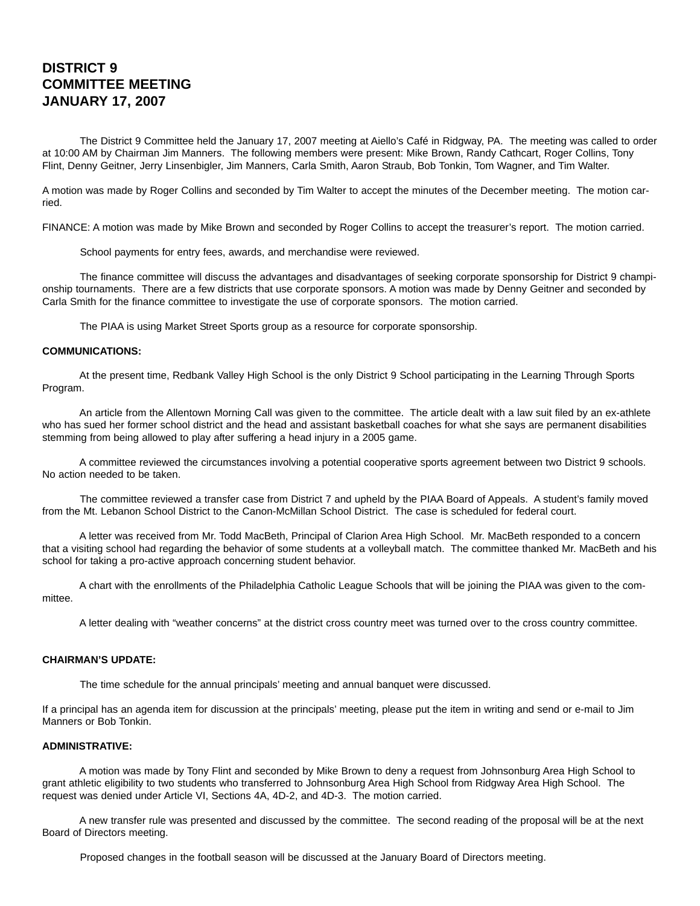# **DISTRICT 9 COMMITTEE MEETING JANUARY 17, 2007**

The District 9 Committee held the January 17, 2007 meeting at Aiello's Café in Ridgway, PA. The meeting was called to order at 10:00 AM by Chairman Jim Manners. The following members were present: Mike Brown, Randy Cathcart, Roger Collins, Tony Flint, Denny Geitner, Jerry Linsenbigler, Jim Manners, Carla Smith, Aaron Straub, Bob Tonkin, Tom Wagner, and Tim Walter.

A motion was made by Roger Collins and seconded by Tim Walter to accept the minutes of the December meeting. The motion carried.

FINANCE: A motion was made by Mike Brown and seconded by Roger Collins to accept the treasurer's report. The motion carried.

School payments for entry fees, awards, and merchandise were reviewed.

The finance committee will discuss the advantages and disadvantages of seeking corporate sponsorship for District 9 championship tournaments. There are a few districts that use corporate sponsors. A motion was made by Denny Geitner and seconded by Carla Smith for the finance committee to investigate the use of corporate sponsors. The motion carried.

The PIAA is using Market Street Sports group as a resource for corporate sponsorship.

### **COMMUNICATIONS:**

At the present time, Redbank Valley High School is the only District 9 School participating in the Learning Through Sports Program.

An article from the Allentown Morning Call was given to the committee. The article dealt with a law suit filed by an ex-athlete who has sued her former school district and the head and assistant basketball coaches for what she says are permanent disabilities stemming from being allowed to play after suffering a head injury in a 2005 game.

A committee reviewed the circumstances involving a potential cooperative sports agreement between two District 9 schools. No action needed to be taken.

The committee reviewed a transfer case from District 7 and upheld by the PIAA Board of Appeals. A student's family moved from the Mt. Lebanon School District to the Canon-McMillan School District. The case is scheduled for federal court.

A letter was received from Mr. Todd MacBeth, Principal of Clarion Area High School. Mr. MacBeth responded to a concern that a visiting school had regarding the behavior of some students at a volleyball match. The committee thanked Mr. MacBeth and his school for taking a pro-active approach concerning student behavior.

A chart with the enrollments of the Philadelphia Catholic League Schools that will be joining the PIAA was given to the committee.

A letter dealing with "weather concerns" at the district cross country meet was turned over to the cross country committee.

## **CHAIRMAN'S UPDATE:**

The time schedule for the annual principals' meeting and annual banquet were discussed.

If a principal has an agenda item for discussion at the principals' meeting, please put the item in writing and send or e-mail to Jim Manners or Bob Tonkin.

## **ADMINISTRATIVE:**

A motion was made by Tony Flint and seconded by Mike Brown to deny a request from Johnsonburg Area High School to grant athletic eligibility to two students who transferred to Johnsonburg Area High School from Ridgway Area High School. The request was denied under Article VI, Sections 4A, 4D-2, and 4D-3. The motion carried.

A new transfer rule was presented and discussed by the committee. The second reading of the proposal will be at the next Board of Directors meeting.

Proposed changes in the football season will be discussed at the January Board of Directors meeting.